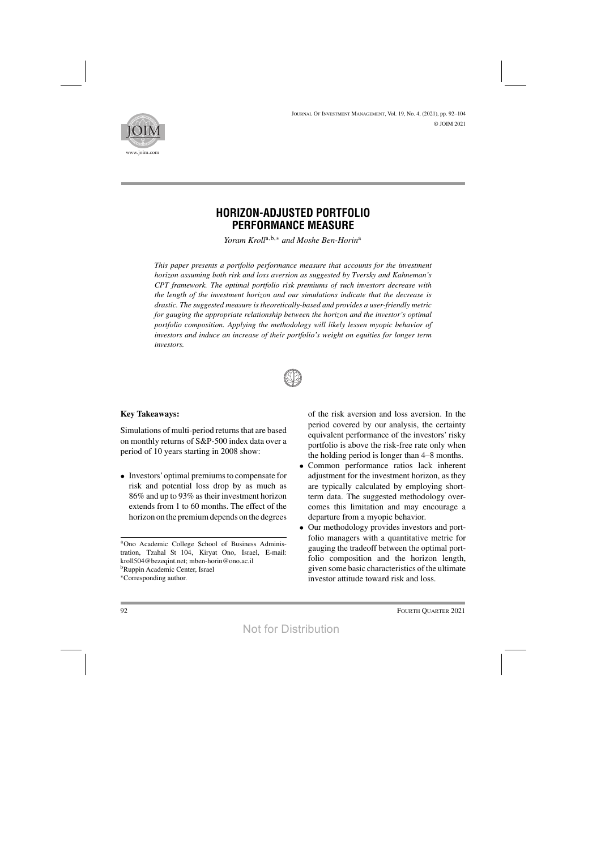

# **HORIZON-ADJUSTED PORTFOLIO PERFORMANCE MEASURE**

*Yoram Kroll*a,b,<sup>∗</sup> *and Moshe Ben-Horin*<sup>a</sup>

*This paper presents a portfolio performance measure that accounts for the investment horizon assuming both risk and loss aversion as suggested by Tversky and Kahneman's CPT framework. The optimal portfolio risk premiums of such investors decrease with the length of the investment horizon and our simulations indicate that the decrease is drastic. The suggested measure is theoretically-based and provides a user-friendly metric for gauging the appropriate relationship between the horizon and the investor's optimal portfolio composition. Applying the methodology will likely lessen myopic behavior of investors and induce an increase of their portfolio's weight on equities for longer term investors.*



# **Key Takeaways:**

Simulations of multi-period returns that are based on monthly returns of S&P-500 index data over a period of 10 years starting in 2008 show:

• Investors' optimal premiums to compensate for risk and potential loss drop by as much as 86% and up to 93% astheir investment horizon extends from 1 to 60 months. The effect of the horizon on the premium depends on the degrees

aOno Academic College School of Business Administration, Tzahal St 104, Kiryat Ono, Israel, E-mail: kroll504@bezeqint.net; mben-horin@ono.ac.il bRuppin Academic Center, Israel <sup>∗</sup>Corresponding author.

of the risk aversion and loss aversion. In the period covered by our analysis, the certainty equivalent performance of the investors' risky portfolio is above the risk-free rate only when the holding period is longer than 4–8 months.

- Common performance ratios lack inherent adjustment for the investment horizon, as they are typically calculated by employing shortterm data. The suggested methodology overcomes this limitation and may encourage a departure from a myopic behavior.
- Our methodology provides investors and portfolio managers with a quantitative metric for gauging the tradeoff between the optimal portfolio composition and the horizon length, given some basic characteristics of the ultimate investor attitude toward risk and loss.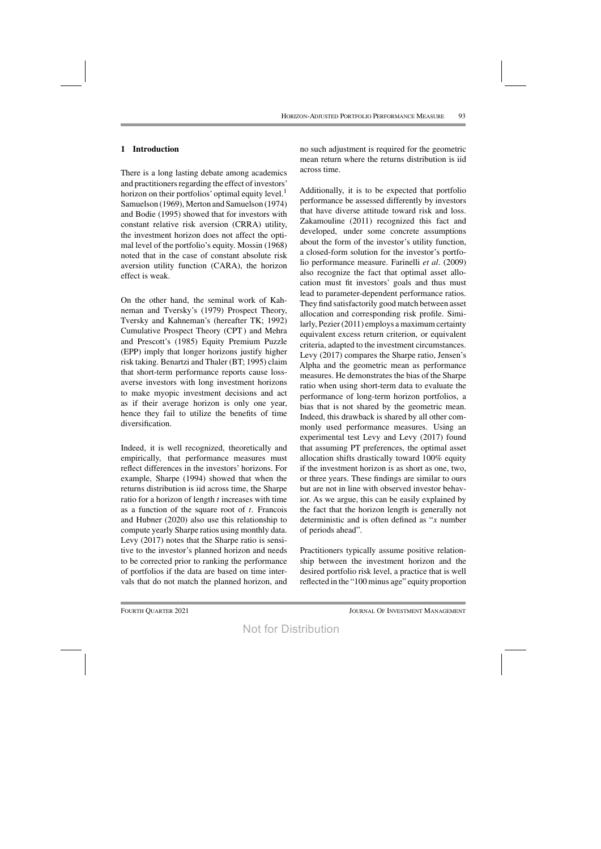## **1 Introduction**

There is a long lasting debate among academics and practitioners regarding the effect of investors' horizon on their portfolios' optimal equity level.<sup>1</sup> Samuelson (1969), Merton and Samuelson (1974) and Bodie (1995) showed that for investors with constant relative risk aversion (CRRA) utility, the investment horizon does not affect the optimal level of the portfolio's equity. Mossin (1968) noted that in the case of constant absolute risk aversion utility function (CARA), the horizon effect is weak.

On the other hand, the seminal work of Kahneman and Tversky's (1979) Prospect Theory, Tversky and Kahneman's (hereafter TK; 1992) Cumulative Prospect Theory (CPT) and Mehra and Prescott's (1985) Equity Premium Puzzle (EPP) imply that longer horizons justify higher risk taking. Benartzi and Thaler (BT; 1995) claim that short-term performance reports cause lossaverse investors with long investment horizons to make myopic investment decisions and act as if their average horizon is only one year, hence they fail to utilize the benefits of time diversification.

Indeed, it is well recognized, theoretically and empirically, that performance measures must reflect differences in the investors' horizons. For example, Sharpe (1994) showed that when the returns distribution is iid across time, the Sharpe ratio for a horizon of length  $t$  increases with time as a function of the square root of  $t$ . Francois and Hubner (2020) also use this relationship to compute yearly Sharpe ratios using monthly data. Levy (2017) notes that the Sharpe ratio is sensitive to the investor's planned horizon and needs to be corrected prior to ranking the performance of portfolios if the data are based on time intervals that do not match the planned horizon, and no such adjustment is required for the geometric mean return where the returns distribution is iid across time.

Additionally, it is to be expected that portfolio performance be assessed differently by investors that have diverse attitude toward risk and loss. Zakamouline (2011) recognized this fact and developed, under some concrete assumptions about the form of the investor's utility function, a closed-form solution for the investor's portfolio performance measure. Farinelli *et al*. (2009) also recognize the fact that optimal asset allocation must fit investors' goals and thus must lead to parameter-dependent performance ratios. They find satisfactorily good match between asset allocation and corresponding risk profile. Similarly, Pezier(2011) employs a maximum certainty equivalent excess return criterion, or equivalent criteria, adapted to the investment circumstances. Levy (2017) compares the Sharpe ratio, Jensen's Alpha and the geometric mean as performance measures. He demonstrates the bias of the Sharpe ratio when using short-term data to evaluate the performance of long-term horizon portfolios, a bias that is not shared by the geometric mean. Indeed, this drawback is shared by all other commonly used performance measures. Using an experimental test Levy and Levy (2017) found that assuming PT preferences, the optimal asset allocation shifts drastically toward 100% equity if the investment horizon is as short as one, two, or three years. These findings are similar to ours but are not in line with observed investor behavior. As we argue, this can be easily explained by the fact that the horizon length is generally not deterministic and is often defined as "x number of periods ahead".

Practitioners typically assume positive relationship between the investment horizon and the desired portfolio risk level, a practice that is well reflected in the "100 minus age" equity proportion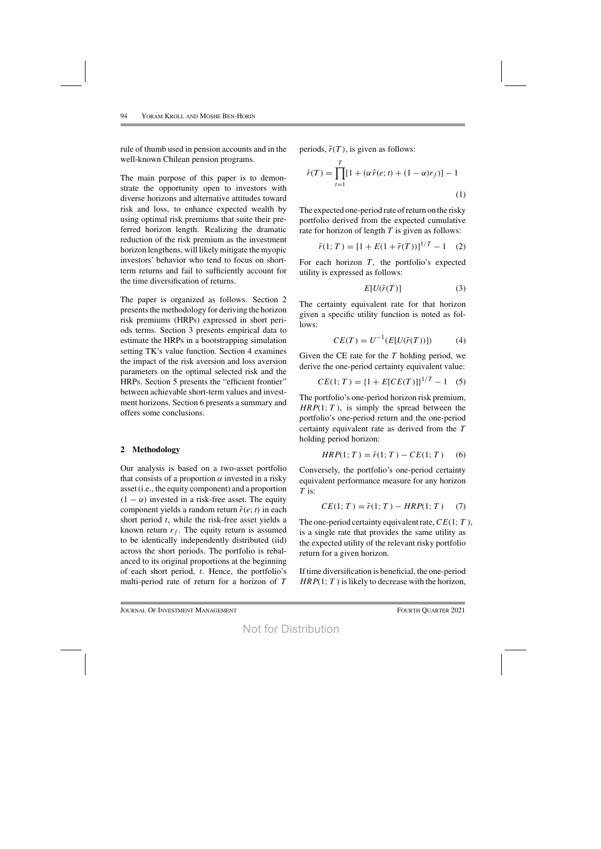rule of thumb used in pension accounts and in the well-known Chilean pension programs.

The main purpose of this paper is to demonstrate the opportunity open to investors with diverse horizons and alternative attitudes toward risk and loss, to enhance expected wealth by using optimal risk premiums that suite their preferred horizon length. Realizing the dramatic reduction of the risk premium as the investment horizon lengthens, will likely mitigate the myopic investors' behavior who tend to focus on shortterm returns and fail to sufficiently account for the time diversification of returns.

The paper is organized as follows. Section 2 presents the methodology for deriving the horizon risk premiums (HRPs) expressed in short periods terms. Section 3 presents empirical data to estimate the HRPs in a bootstrapping simulation setting TK's value function. Section 4 examines the impact of the risk aversion and loss aversion parameters on the optimal selected risk and the HRPs. Section 5 presents the "efficient frontier" between achievable short-term values and investment horizons. Section 6 presents a summary and offers some conclusions.

## **2 Methodology**

Our analysis is based on a two-asset portfolio that consists of a proportion  $\alpha$  invested in a risky asset (i.e., the equity component) and a proportion  $(1 - \alpha)$  invested in a risk-free asset. The equity component yields a random return  $\tilde{r}(e; t)$  in each short period  $t$ , while the risk-free asset yields a known return  $r_f$ . The equity return is assumed to be identically independently distributed (iid) across the short periods. The portfolio is rebalanced to its original proportions at the beginning of each short period,  $t$ . Hence, the portfolio's multi-period rate of return for a horizon of T

periods,  $\tilde{r}(T)$ , is given as follows:

$$
\tilde{r}(T) = \prod_{t=1}^{T} [1 + (\alpha \tilde{r}(e; t) + (1 - \alpha)r_f)] - 1
$$
\n(1)

The expected one-period rate of return on the risky portfolio derived from the expected cumulative rate for horizon of length  $T$  is given as follows:

$$
\bar{r}(1;T) = [1 + E(1 + \tilde{r}(T))]^{1/T} - 1 \quad (2)
$$

For each horizon  $T$ , the portfolio's expected utility is expressed as follows:

$$
E[U(\tilde{r}(T))]
$$
 (3)

The certainty equivalent rate for that horizon given a specific utility function is noted as follows:

$$
CE(T) = U^{-1}(E[U(\tilde{r}(T))])
$$
 (4)

Given the CE rate for the  $T$  holding period, we derive the one-period certainty equivalent value:

$$
CE(1; T) = \{1 + E[CE(T)]\}^{1/T} - 1 \quad (5)
$$

The portfolio's one-period horizon risk premium,  $HRP(1; T)$ , is simply the spread between the portfolio's one-period return and the one-period certainty equivalent rate as derived from the T holding period horizon:

$$
HRP(1; T) = \bar{r}(1; T) - CE(1; T) \tag{6}
$$

Conversely, the portfolio's one-period certainty equivalent performance measure for any horizon  $T$  is:

$$
CE(1; T) = \bar{r}(1; T) - HRP(1; T) \tag{7}
$$

The one-period certainty equivalent rate,  $CE(1; T)$ , is a single rate that provides the same utility as the expected utility of the relevant risky portfolio return for a given horizon.

Iftime diversification is beneficial, the one-period  $HRP(1; T)$  is likely to decrease with the horizon,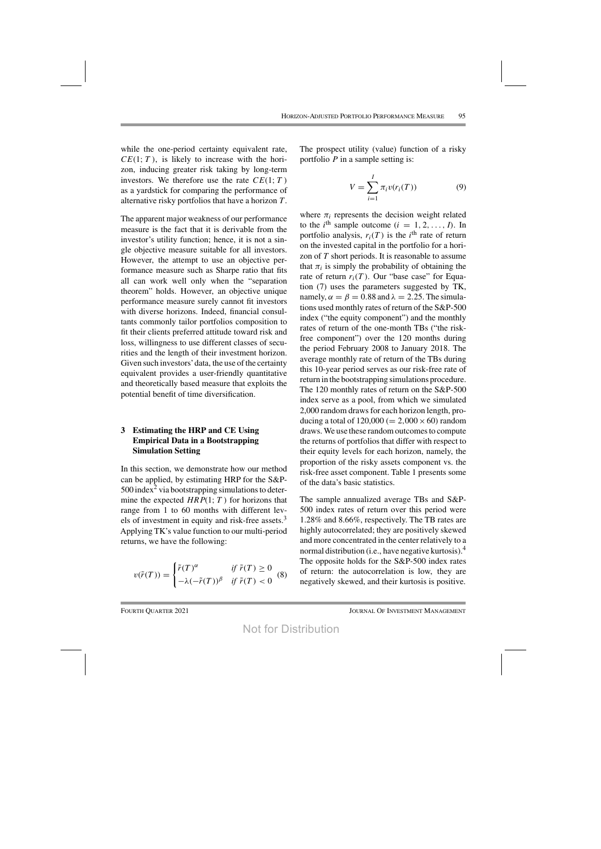while the one-period certainty equivalent rate,  $CE(1; T)$ , is likely to increase with the horizon, inducing greater risk taking by long-term investors. We therefore use the rate  $CE(1; T)$ as a yardstick for comparing the performance of alternative risky portfolios that have a horizon  $T$ .

The apparent major weakness of our performance measure is the fact that it is derivable from the investor's utility function; hence, it is not a single objective measure suitable for all investors. However, the attempt to use an objective performance measure such as Sharpe ratio that fits all can work well only when the "separation theorem" holds. However, an objective unique performance measure surely cannot fit investors with diverse horizons. Indeed, financial consultants commonly tailor portfolios composition to fit their clients preferred attitude toward risk and loss, willingness to use different classes of securities and the length of their investment horizon. Given such investors' data, the use of the certainty equivalent provides a user-friendly quantitative and theoretically based measure that exploits the potential benefit of time diversification.

# **3 Estimating the HRP and CE Using Empirical Data in a Bootstrapping Simulation Setting**

In this section, we demonstrate how our method can be applied, by estimating HRP for the S&P- $500$  index<sup>2</sup> via bootstrapping simulations to determine the expected  $HRP(1; T)$  for horizons that range from 1 to 60 months with different levels of investment in equity and risk-free assets. $3$ Applying TK's value function to our multi-period returns, we have the following:

$$
v(\tilde{r}(T)) = \begin{cases} \tilde{r}(T)^{\alpha} & \text{if } \tilde{r}(T) \ge 0 \\ -\lambda (-\tilde{r}(T))^{\beta} & \text{if } \tilde{r}(T) < 0 \end{cases}
$$
 (8)

The prospect utility (value) function of a risky portfolio  $P$  in a sample setting is:

$$
V = \sum_{i=1}^{I} \pi_i v(r_i(T))
$$
 (9)

where  $\pi_i$  represents the decision weight related to the *i*<sup>th</sup> sample outcome  $(i = 1, 2, ..., I)$ . In portfolio analysis,  $r_i(T)$  is the *i*<sup>th</sup> rate of return on the invested capital in the portfolio for a horizon of T short periods. It is reasonable to assume that  $\pi_i$  is simply the probability of obtaining the rate of return  $r_i(T)$ . Our "base case" for Equation (7) uses the parameters suggested by TK, namely,  $\alpha = \beta = 0.88$  and  $\lambda = 2.25$ . The simulations used monthly rates of return of the S&P-500 index ("the equity component") and the monthly rates of return of the one-month TBs ("the riskfree component") over the 120 months during the period February 2008 to January 2018. The average monthly rate of return of the TBs during this 10-year period serves as our risk-free rate of return in the bootstrapping simulations procedure. The 120 monthly rates of return on the S&P-500 index serve as a pool, from which we simulated 2,000 random drawsfor each horizon length, producing a total of  $120,000 (= 2,000 \times 60)$  random draws. We use these random outcomes to compute the returns of portfolios that differ with respect to their equity levels for each horizon, namely, the proportion of the risky assets component vs. the risk-free asset component. Table 1 presents some of the data's basic statistics.

The sample annualized average TBs and S&P-500 index rates of return over this period were 1.28% and 8.66%, respectively. The TB rates are highly autocorrelated; they are positively skewed and more concentrated in the center relatively to a normal distribution (i.e., have negative kurtosis).<sup>4</sup> The opposite holds for the S&P-500 index rates of return: the autocorrelation is low, they are negatively skewed, and their kurtosis is positive.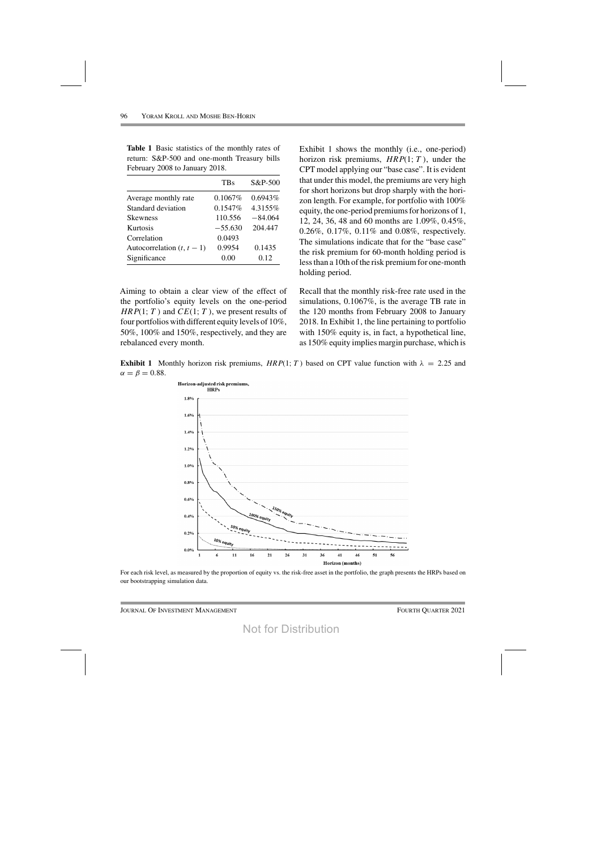|                            | <b>TBs</b> | $S&P-500$ |
|----------------------------|------------|-----------|
| Average monthly rate       | $0.1067\%$ | 0.6943%   |
| Standard deviation         | $0.1547\%$ | 4.3155%   |
| <b>Skewness</b>            | 110.556    | $-84.064$ |
| Kurtosis                   | $-55.630$  | 204.447   |
| Correlation                | 0.0493     |           |
| Autocorrelation $(t, t-1)$ | 0.9954     | 0.1435    |
| Significance               | 0.00       | 0.12      |

**Table 1** Basic statistics of the monthly rates of return: S&P-500 and one-month Treasury bills February 2008 to January 2018.

Aiming to obtain a clear view of the effect of the portfolio's equity levels on the one-period  $HRP(1; T)$  and  $CE(1; T)$ , we present results of four portfolios with different equity levels of  $10\%$ , 50%, 100% and 150%, respectively, and they are rebalanced every month.

Exhibit 1 shows the monthly (i.e., one-period) horizon risk premiums,  $HRP(1; T)$ , under the CPT model applying our "base case". It is evident that under this model, the premiums are very high for short horizons but drop sharply with the horizon length. For example, for portfolio with 100% equity, the one-period premiums for horizons of 1, 12, 24, 36, 48 and 60 months are 1.09%, 0.45%, 0.26%, 0.17%, 0.11% and 0.08%, respectively. The simulations indicate that for the "base case" the risk premium for 60-month holding period is less than a 10th of the risk premium for one-month holding period.

Recall that the monthly risk-free rate used in the simulations, 0.1067%, is the average TB rate in the 120 months from February 2008 to January 2018. In Exhibit 1, the line pertaining to portfolio with 150% equity is, in fact, a hypothetical line, as 150% equity implies margin purchase, which is

**Exhibit 1** Monthly horizon risk premiums,  $HRP(1; T)$  based on CPT value function with  $\lambda = 2.25$  and  $\alpha = \beta = 0.88$ .



For each risk level, as measured by the proportion of equity vs. the risk-free asset in the portfolio, the graph presents the HRPs based on our bootstrapping simulation data.

Journal Of Investment Management Fourth Fourth Puarter 2021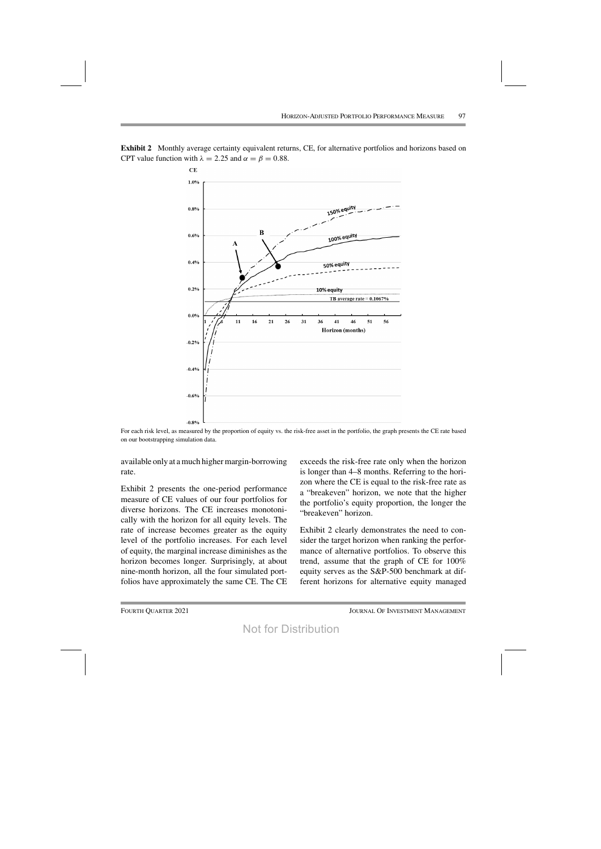



For each risk level, as measured by the proportion of equity vs. the risk-free asset in the portfolio, the graph presents the CE rate based on our bootstrapping simulation data.

available only at a much higher margin-borrowing rate.

Exhibit 2 presents the one-period performance measure of CE values of our four portfolios for diverse horizons. The CE increases monotonically with the horizon for all equity levels. The rate of increase becomes greater as the equity level of the portfolio increases. For each level of equity, the marginal increase diminishes as the horizon becomes longer. Surprisingly, at about nine-month horizon, all the four simulated portfolios have approximately the same CE. The CE exceeds the risk-free rate only when the horizon is longer than 4–8 months. Referring to the horizon where the CE is equal to the risk-free rate as a "breakeven" horizon, we note that the higher the portfolio's equity proportion, the longer the "breakeven" horizon.

Exhibit 2 clearly demonstrates the need to consider the target horizon when ranking the performance of alternative portfolios. To observe this trend, assume that the graph of CE for 100% equity serves as the S&P-500 benchmark at different horizons for alternative equity managed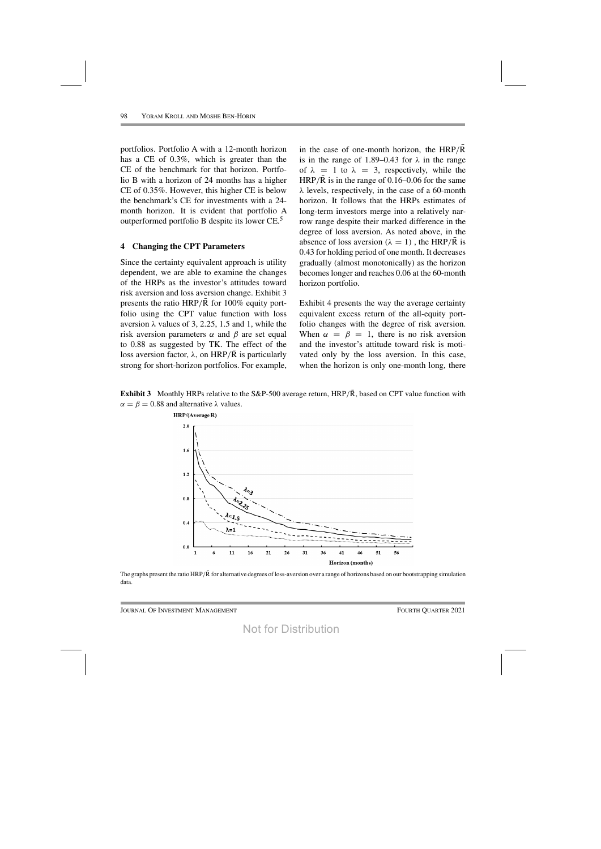portfolios. Portfolio A with a 12-month horizon has a CE of 0.3%, which is greater than the CE of the benchmark for that horizon. Portfolio B with a horizon of 24 months has a higher CE of 0.35%. However, this higher CE is below the benchmark's CE for investments with a 24 month horizon. It is evident that portfolio A outperformed portfolio B despite its lower CE.5

#### **4 Changing the CPT Parameters**

Since the certainty equivalent approach is utility dependent, we are able to examine the changes of the HRPs as the investor's attitudes toward risk aversion and loss aversion change. Exhibit 3 presents the ratio HRP/R for  $100\%$  equity portfolio using the CPT value function with loss aversion  $λ$  values of 3, 2.25, 1.5 and 1, while the risk aversion parameters  $\alpha$  and  $\beta$  are set equal to 0.88 as suggested by TK. The effect of the loss aversion factor, λ, on HRP/R is particularly strong for short-horizon portfolios. For example,

in the case of one-month horizon, the  $HRP/R$ is in the range of 1.89–0.43 for  $\lambda$  in the range of  $\lambda = 1$  to  $\lambda = 3$ , respectively, while the HRP/ $\overline{R}$  is in the range of 0.16–0.06 for the same  $\lambda$  levels, respectively, in the case of a 60-month horizon. It follows that the HRPs estimates of long-term investors merge into a relatively narrow range despite their marked difference in the degree of loss aversion. As noted above, in the absence of loss aversion  $(\lambda = 1)$ , the HRP/R is 0.43 for holding period of one month. It decreases gradually (almost monotonically) as the horizon becomes longer and reaches 0.06 at the 60-month horizon portfolio.

Exhibit 4 presents the way the average certainty equivalent excess return of the all-equity portfolio changes with the degree of risk aversion. When  $\alpha = \beta = 1$ , there is no risk aversion and the investor's attitude toward risk is motivated only by the loss aversion. In this case, when the horizon is only one-month long, there

**Exhibit 3** Monthly HRPs relative to the S&P-500 average return, HRP/ $\overline{R}$ , based on CPT value function with  $\alpha = \beta = 0.88$  and alternative  $\lambda$  values.



The graphs present the ratio  $HRP/\bar{R}$  for alternative degrees of loss-aversion over a range of horizons based on our bootstrapping simulation data.

Journal Of Investment Management Fourth Quarter 2021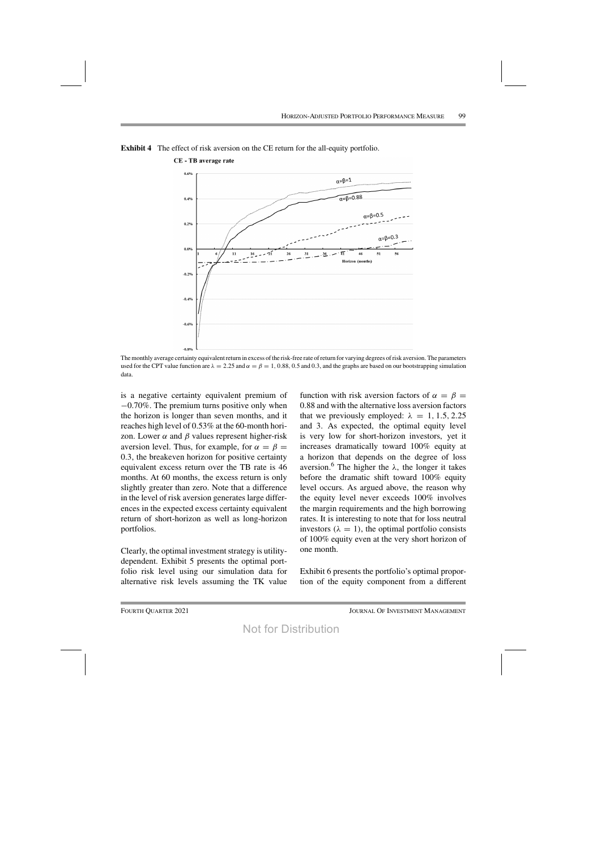

**Exhibit 4** The effect of risk aversion on the CE return for the all-equity portfolio.

**CE** - TB average rate

The monthly average certainty equivalent return in excess of the risk-free rate of return for varying degrees of risk aversion. The parameters used for the CPT value function are  $\lambda = 2.25$  and  $\alpha = \beta = 1, 0.88, 0.5$  and 0.3, and the graphs are based on our bootstrapping simulation data.

is a negative certainty equivalent premium of −0.70%. The premium turns positive only when the horizon is longer than seven months, and it reaches high level of 0.53% at the 60-month horizon. Lower  $\alpha$  and  $\beta$  values represent higher-risk aversion level. Thus, for example, for  $\alpha = \beta$  = 0.3, the breakeven horizon for positive certainty equivalent excess return over the TB rate is 46 months. At 60 months, the excess return is only slightly greater than zero. Note that a difference in the level of risk aversion generates large differences in the expected excess certainty equivalent return of short-horizon as well as long-horizon portfolios.

Clearly, the optimal investment strategy is utilitydependent. Exhibit 5 presents the optimal portfolio risk level using our simulation data for alternative risk levels assuming the TK value function with risk aversion factors of  $\alpha = \beta =$ 0.88 and with the alternative loss aversion factors that we previously employed:  $\lambda = 1, 1.5, 2.25$ and 3. As expected, the optimal equity level is very low for short-horizon investors, yet it increases dramatically toward 100% equity at a horizon that depends on the degree of loss aversion.<sup>6</sup> The higher the λ, the longer it takes before the dramatic shift toward 100% equity level occurs. As argued above, the reason why the equity level never exceeds 100% involves the margin requirements and the high borrowing rates. It is interesting to note that for loss neutral investors ( $\lambda = 1$ ), the optimal portfolio consists of 100% equity even at the very short horizon of one month.

Exhibit 6 presents the portfolio's optimal proportion of the equity component from a different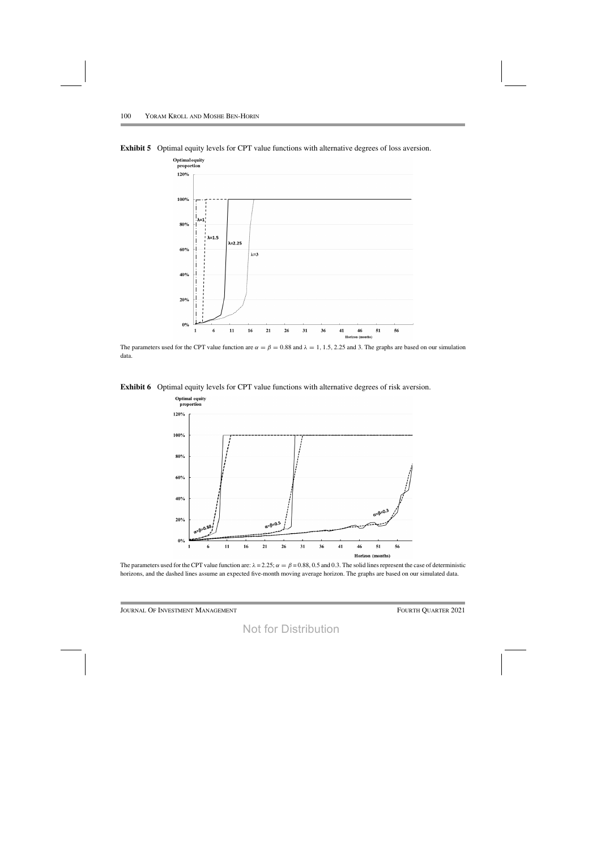**Exhibit 5** Optimal equity levels for CPT value functions with alternative degrees of loss aversion.



The parameters used for the CPT value function are  $\alpha = \beta = 0.88$  and  $\lambda = 1, 1.5, 2.25$  and 3. The graphs are based on our simulation data.

**Exhibit 6** Optimal equity levels for CPT value functions with alternative degrees of risk aversion.



The parameters used for the CPT value function are:  $\lambda = 2.25$ ;  $\alpha = \beta = 0.88$ , 0.5 and 0.3. The solid lines represent the case of deterministic horizons, and the dashed lines assume an expected five-month moving average horizon. The graphs are based on our simulated data.

JOURNAL OF INVESTMENT MANAGEMENT FOURTH QUARTER 2021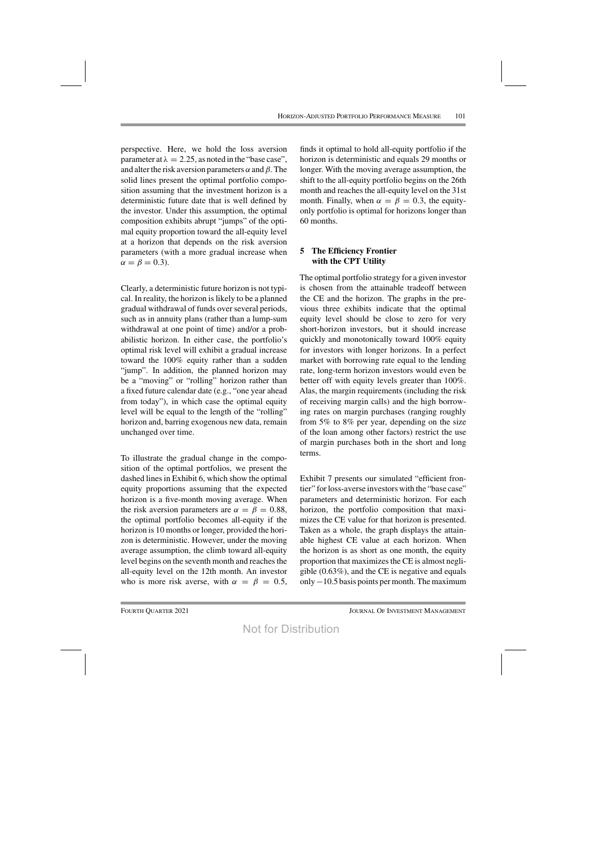perspective. Here, we hold the loss aversion parameter at  $\lambda = 2.25$ , as noted in the "base case", and alter the risk aversion parameters  $\alpha$  and  $\beta$ . The solid lines present the optimal portfolio composition assuming that the investment horizon is a deterministic future date that is well defined by the investor. Under this assumption, the optimal composition exhibits abrupt "jumps" of the optimal equity proportion toward the all-equity level at a horizon that depends on the risk aversion parameters (with a more gradual increase when  $\alpha = \beta = 0.3$ ).

Clearly, a deterministic future horizon is not typical. In reality, the horizon is likely to be a planned gradual withdrawal of funds over several periods, such as in annuity plans (rather than a lump-sum withdrawal at one point of time) and/or a probabilistic horizon. In either case, the portfolio's optimal risk level will exhibit a gradual increase toward the 100% equity rather than a sudden "jump". In addition, the planned horizon may be a "moving" or "rolling" horizon rather than a fixed future calendar date (e.g., "one year ahead from today"), in which case the optimal equity level will be equal to the length of the "rolling" horizon and, barring exogenous new data, remain unchanged over time.

To illustrate the gradual change in the composition of the optimal portfolios, we present the dashed lines in Exhibit 6, which show the optimal equity proportions assuming that the expected horizon is a five-month moving average. When the risk aversion parameters are  $\alpha = \beta = 0.88$ , the optimal portfolio becomes all-equity if the horizon is 10 months or longer, provided the horizon is deterministic. However, under the moving average assumption, the climb toward all-equity level begins on the seventh month and reaches the all-equity level on the 12th month. An investor who is more risk averse, with  $\alpha = \beta = 0.5$ , finds it optimal to hold all-equity portfolio if the horizon is deterministic and equals 29 months or longer. With the moving average assumption, the shift to the all-equity portfolio begins on the 26th month and reaches the all-equity level on the 31st month. Finally, when  $\alpha = \beta = 0.3$ , the equityonly portfolio is optimal for horizons longer than 60 months.

## **5 The Efficiency Frontier with the CPT Utility**

The optimal portfolio strategy for a given investor is chosen from the attainable tradeoff between the CE and the horizon. The graphs in the previous three exhibits indicate that the optimal equity level should be close to zero for very short-horizon investors, but it should increase quickly and monotonically toward 100% equity for investors with longer horizons. In a perfect market with borrowing rate equal to the lending rate, long-term horizon investors would even be better off with equity levels greater than 100%. Alas, the margin requirements (including the risk of receiving margin calls) and the high borrowing rates on margin purchases (ranging roughly from 5% to 8% per year, depending on the size of the loan among other factors) restrict the use of margin purchases both in the short and long terms.

Exhibit 7 presents our simulated "efficient frontier" forloss-averse investors with the "base case" parameters and deterministic horizon. For each horizon, the portfolio composition that maximizes the CE value for that horizon is presented. Taken as a whole, the graph displays the attainable highest CE value at each horizon. When the horizon is as short as one month, the equity proportion that maximizes the CE is almost negligible (0.63%), and the CE is negative and equals only −10.5 basis points per month. The maximum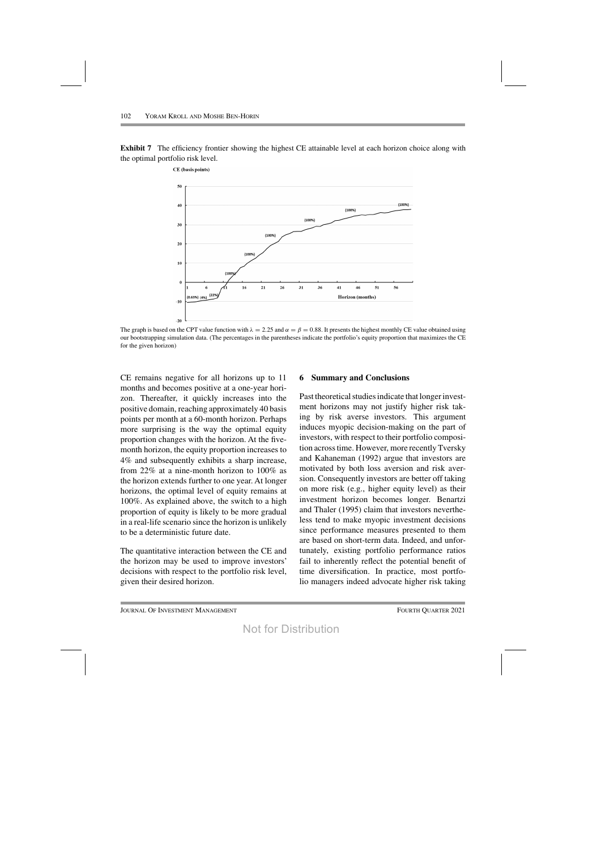CE (basis points)

**Exhibit 7** The efficiency frontier showing the highest CE attainable level at each horizon choice along with the optimal portfolio risk level.



The graph is based on the CPT value function with  $\lambda = 2.25$  and  $\alpha = \beta = 0.88$ . It presents the highest monthly CE value obtained using our bootstrapping simulation data. (The percentages in the parentheses indicate the portfolio's equity proportion that maximizes the CE for the given horizon)

CE remains negative for all horizons up to 11 months and becomes positive at a one-year horizon. Thereafter, it quickly increases into the positive domain, reaching approximately 40 basis points per month at a 60-month horizon. Perhaps more surprising is the way the optimal equity proportion changes with the horizon. At the fivemonth horizon, the equity proportion increases to 4% and subsequently exhibits a sharp increase, from 22% at a nine-month horizon to 100% as the horizon extends further to one year. At longer horizons, the optimal level of equity remains at 100%. As explained above, the switch to a high proportion of equity is likely to be more gradual in a real-life scenario since the horizon is unlikely to be a deterministic future date.

The quantitative interaction between the CE and the horizon may be used to improve investors' decisions with respect to the portfolio risk level, given their desired horizon.

## **6 Summary and Conclusions**

Past theoretical studies indicate that longer investment horizons may not justify higher risk taking by risk averse investors. This argument induces myopic decision-making on the part of investors, with respect to their portfolio composition acrosstime. However, more recentlyTversky and Kahaneman (1992) argue that investors are motivated by both loss aversion and risk aversion. Consequently investors are better off taking on more risk (e.g., higher equity level) as their investment horizon becomes longer. Benartzi and Thaler (1995) claim that investors nevertheless tend to make myopic investment decisions since performance measures presented to them are based on short-term data. Indeed, and unfortunately, existing portfolio performance ratios fail to inherently reflect the potential benefit of time diversification. In practice, most portfolio managers indeed advocate higher risk taking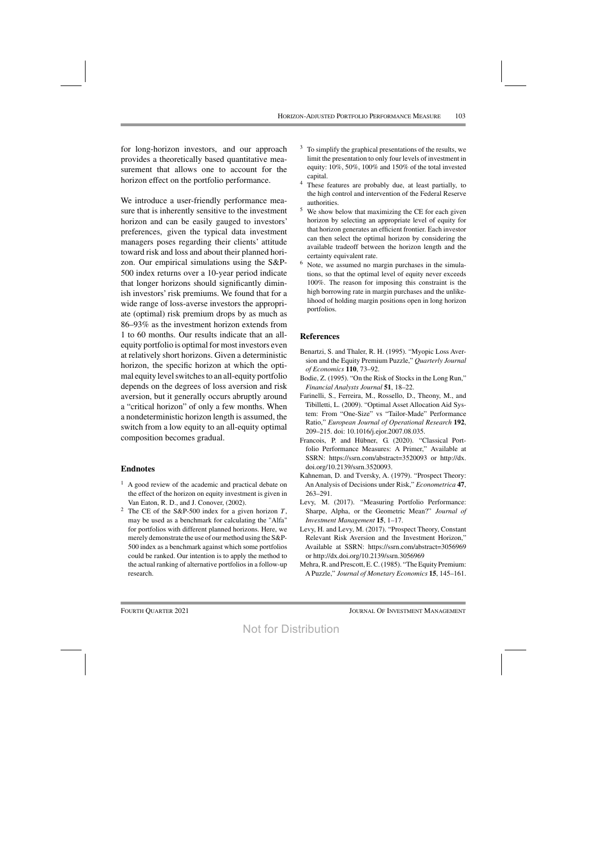for long-horizon investors, and our approach provides a theoretically based quantitative measurement that allows one to account for the horizon effect on the portfolio performance.

We introduce a user-friendly performance measure that is inherently sensitive to the investment horizon and can be easily gauged to investors' preferences, given the typical data investment managers poses regarding their clients' attitude toward risk and loss and about their planned horizon. Our empirical simulations using the S&P-500 index returns over a 10-year period indicate that longer horizons should significantly diminish investors' risk premiums. We found that for a wide range of loss-averse investors the appropriate (optimal) risk premium drops by as much as 86–93% as the investment horizon extends from 1 to 60 months. Our results indicate that an allequity portfolio is optimal for most investors even at relatively short horizons. Given a deterministic horizon, the specific horizon at which the optimal equity level switches to an all-equity portfolio depends on the degrees of loss aversion and risk aversion, but it generally occurs abruptly around a "critical horizon" of only a few months. When a nondeterministic horizon length is assumed, the switch from a low equity to an all-equity optimal composition becomes gradual.

#### **Endnotes**

- $<sup>1</sup>$  A good review of the academic and practical debate on</sup> the effect of the horizon on equity investment is given in Van Eaton, R. D., and J. Conover, (2002).
- <sup>2</sup> The CE of the S&P-500 index for a given horizon  $T$ , may be used as a benchmark for calculating the "Alfa" for portfolios with different planned horizons. Here, we merely demonstrate the use of our method using the  $S\&P-$ 500 index as a benchmark against which some portfolios could be ranked. Our intention is to apply the method to the actual ranking of alternative portfolios in a follow-up research.
- <sup>3</sup> To simplify the graphical presentations of the results, we limit the presentation to only four levels of investment in equity: 10%, 50%, 100% and 150% of the total invested capital.
- <sup>4</sup> These features are probably due, at least partially, to the high control and intervention of the Federal Reserve authorities.
- <sup>5</sup> We show below that maximizing the CE for each given horizon by selecting an appropriate level of equity for that horizon generates an efficient frontier. Each investor can then select the optimal horizon by considering the available tradeoff between the horizon length and the certainty equivalent rate.
- <sup>6</sup> Note, we assumed no margin purchases in the simulations, so that the optimal level of equity never exceeds 100%. The reason for imposing this constraint is the high borrowing rate in margin purchases and the unlikelihood of holding margin positions open in long horizon portfolios.

## **References**

- Benartzi, S. and Thaler, R. H. (1995). "Myopic Loss Aversion and the Equity Premium Puzzle," *Quarterly Journal of Economics* **110**, 73–92.
- Bodie, Z. (1995). "On the Risk of Stocks in the Long Run," *Financial Analysts Journal* **51**, 18–22.
- Farinelli, S., Ferreira, M., Rossello, D., Theony, M., and Tibilletti, L. (2009). "Optimal Asset Allocation Aid System: From "One-Size" vs "Tailor-Made" Performance Ratio," *European Journal of Operational Research* **192**, 209–215. doi: 10.1016/j.ejor.2007.08.035.
- Francois, P. and Hübner, G. (2020). "Classical Portfolio Performance Measures: A Primer," Available at SSRN: https://ssrn.com/abstract=3520093 or http://dx. doi.org/10.2139/ssrn.3520093.
- Kahneman, D. and Tversky, A. (1979). "Prospect Theory: An Analysis of Decisions under Risk," *Econometrica* **47**, 263–291.
- Levy, M. (2017). "Measuring Portfolio Performance: Sharpe, Alpha, or the Geometric Mean?" *Journal of Investment Management* **15**, 1–17.
- Levy, H. and Levy, M. (2017). "Prospect Theory, Constant Relevant Risk Aversion and the Investment Horizon," Available at SSRN: https://ssrn.com/abstract=3056969 or http://dx.doi.org/10.2139/ssrn.3056969
- Mehra, R. and Prescott, E. C. (1985). "The Equity Premium: A Puzzle," *Journal of Monetary Economics* **15**, 145–161.